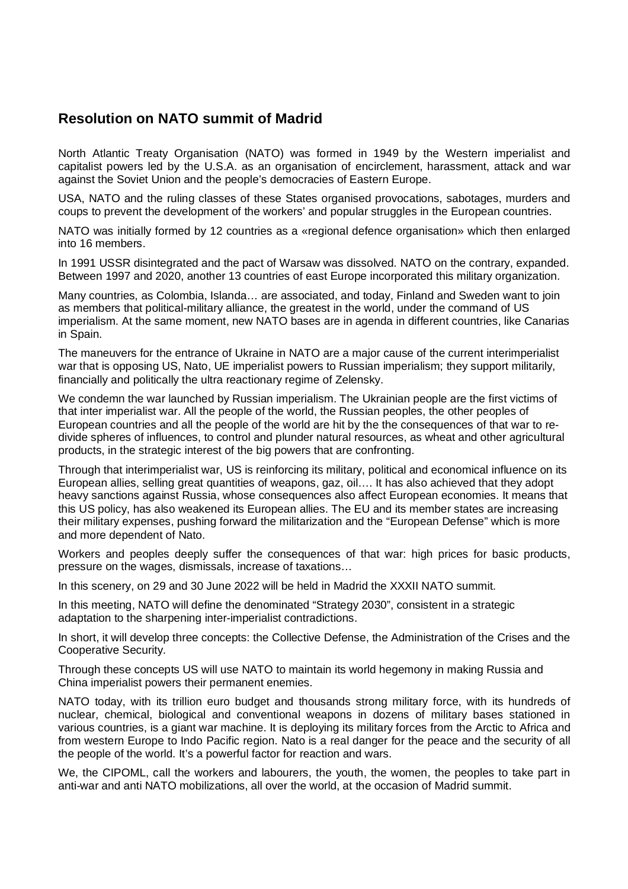## **Resolution on NATO summit of Madrid**

North Atlantic Treaty Organisation (NATO) was formed in 1949 by the Western imperialist and capitalist powers led by the U.S.A. as an organisation of encirclement, harassment, attack and war against the Soviet Union and the people's democracies of Eastern Europe.

USA, NATO and the ruling classes of these States organised provocations, sabotages, murders and coups to prevent the development of the workers' and popular struggles in the European countries.

NATO was initially formed by 12 countries as a «regional defence organisation» which then enlarged into 16 members.

In 1991 USSR disintegrated and the pact of Warsaw was dissolved. NATO on the contrary, expanded. Between 1997 and 2020, another 13 countries of east Europe incorporated this military organization.

Many countries, as Colombia, Islanda… are associated, and today, Finland and Sweden want to join as members that political-military alliance, the greatest in the world, under the command of US imperialism. At the same moment, new NATO bases are in agenda in different countries, like Canarias in Spain.

The maneuvers for the entrance of Ukraine in NATO are a major cause of the current interimperialist war that is opposing US, Nato, UE imperialist powers to Russian imperialism; they support militarily, financially and politically the ultra reactionary regime of Zelensky.

We condemn the war launched by Russian imperialism. The Ukrainian people are the first victims of that inter imperialist war. All the people of the world, the Russian peoples, the other peoples of European countries and all the people of the world are hit by the the consequences of that war to redivide spheres of influences, to control and plunder natural resources, as wheat and other agricultural products, in the strategic interest of the big powers that are confronting.

Through that interimperialist war, US is reinforcing its military, political and economical influence on its European allies, selling great quantities of weapons, gaz, oil…. It has also achieved that they adopt heavy sanctions against Russia, whose consequences also affect European economies. It means that this US policy, has also weakened its European allies. The EU and its member states are increasing their military expenses, pushing forward the militarization and the "European Defense" which is more and more dependent of Nato.

Workers and peoples deeply suffer the consequences of that war: high prices for basic products, pressure on the wages, dismissals, increase of taxations…

In this scenery, on 29 and 30 June 2022 will be held in Madrid the XXXII NATO summit.

In this meeting, NATO will define the denominated "Strategy 2030", consistent in a strategic adaptation to the sharpening inter-imperialist contradictions.

In short, it will develop three concepts: the Collective Defense, the Administration of the Crises and the Cooperative Security.

Through these concepts US will use NATO to maintain its world hegemony in making Russia and China imperialist powers their permanent enemies.

NATO today, with its trillion euro budget and thousands strong military force, with its hundreds of nuclear, chemical, biological and conventional weapons in dozens of military bases stationed in various countries, is a giant war machine. It is deploying its military forces from the Arctic to Africa and from western Europe to Indo Pacific region. Nato is a real danger for the peace and the security of all the people of the world. It's a powerful factor for reaction and wars.

We, the CIPOML, call the workers and labourers, the youth, the women, the peoples to take part in anti-war and anti NATO mobilizations, all over the world, at the occasion of Madrid summit.